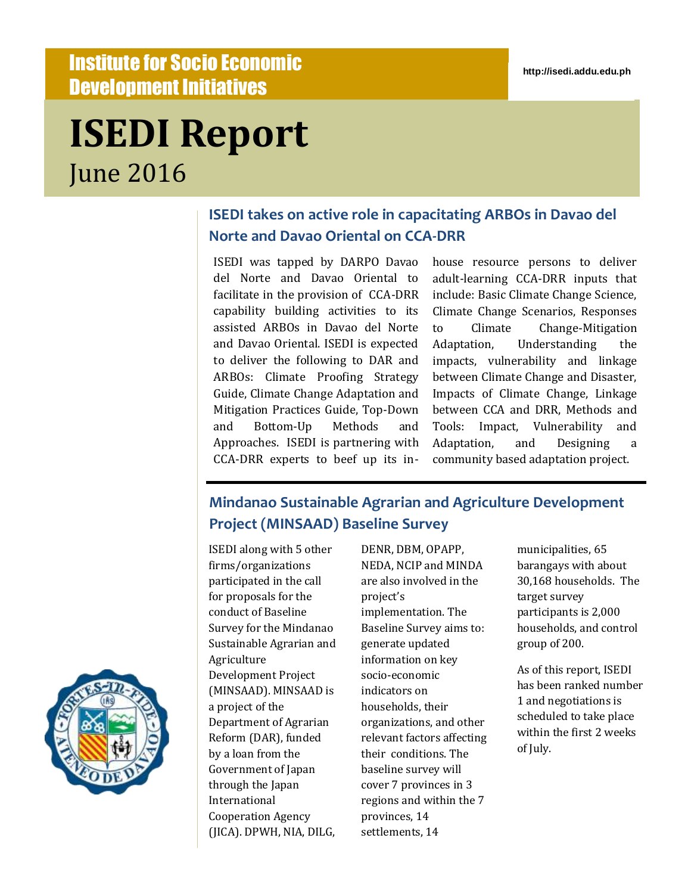### Institute for Socio Economic Development Initiatives

# **ISEDI Report** June 2016

### **ISEDI takes on active role in capacitating ARBOs in Davao del Norte and Davao Oriental on CCA-DRR**

ISEDI was tapped by DARPO Davao del Norte and Davao Oriental to facilitate in the provision of CCA-DRR capability building activities to its assisted ARBOs in Davao del Norte and Davao Oriental. ISEDI is expected to deliver the following to DAR and ARBOs: Climate Proofing Strategy Guide, Climate Change Adaptation and Mitigation Practices Guide, Top-Down and Bottom-Up Methods and Approaches. ISEDI is partnering with CCA-DRR experts to beef up its inhouse resource persons to deliver adult-learning CCA-DRR inputs that include: Basic Climate Change Science, Climate Change Scenarios, Responses to Climate Change-Mitigation Adaptation, Understanding the impacts, vulnerability and linkage between Climate Change and Disaster, Impacts of Climate Change, Linkage between CCA and DRR, Methods and Tools: Impact, Vulnerability and Adaptation, and Designing a community based adaptation project.

### **Mindanao Sustainable Agrarian and Agriculture Development Project (MINSAAD) Baseline Survey**

ISEDI along with 5 other firms/organizations participated in the call for proposals for the conduct of Baseline Survey for the Mindanao Sustainable Agrarian and Agriculture Development Project (MINSAAD). MINSAAD is a project of the Department of Agrarian Reform (DAR), funded by a loan from the Government of Japan through the Japan International Cooperation Agency (JICA). DPWH, NIA, DILG,

DENR, DBM, OPAPP, NEDA, NCIP and MINDA are also involved in the project's implementation. The Baseline Survey aims to: generate updated information on key socio-economic indicators on households, their organizations, and other relevant factors affecting their conditions. The baseline survey will cover 7 provinces in 3 regions and within the 7 provinces, 14 settlements, 14

municipalities, 65 barangays with about 30,168 households. The target survey participants is 2,000 households, and control group of 200.

As of this report, ISEDI has been ranked number 1 and negotiations is scheduled to take place within the first 2 weeks of July.

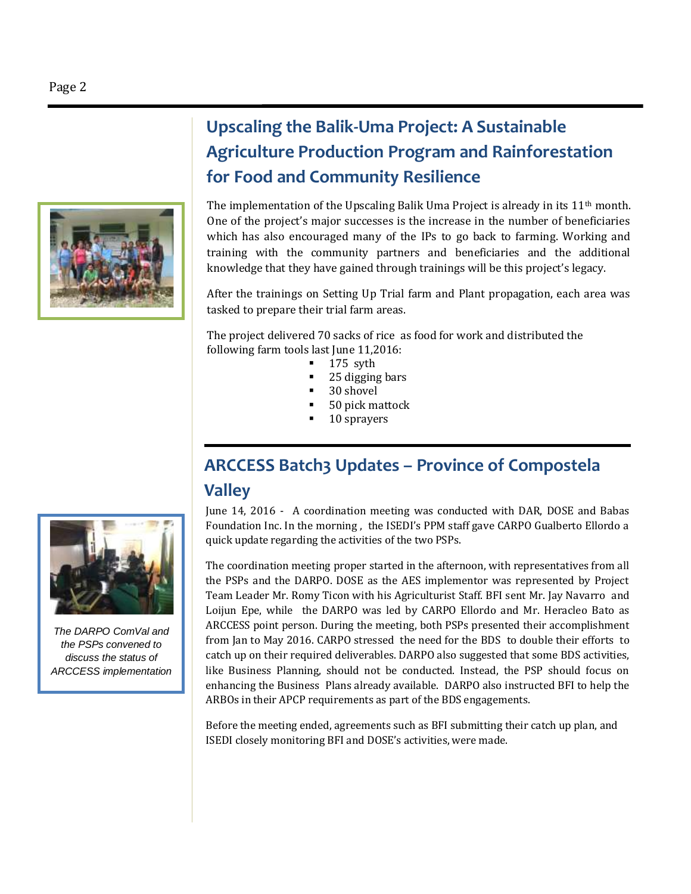

# **Upscaling the Balik-Uma Project: A Sustainable Agriculture Production Program and Rainforestation for Food and Community Resilience**

The implementation of the Upscaling Balik Uma Project is already in its 11<sup>th</sup> month. One of the project's major successes is the increase in the number of beneficiaries which has also encouraged many of the IPs to go back to farming. Working and training with the community partners and beneficiaries and the additional knowledge that they have gained through trainings will be this project's legacy.

After the trainings on Setting Up Trial farm and Plant propagation, each area was tasked to prepare their trial farm areas.

The project delivered 70 sacks of rice as food for work and distributed the following farm tools last June 11,2016:

- 175 syth
	- 25 digging bars
- 30 shovel
- 50 pick mattock
- 10 sprayers

## **ARCCESS Batch3 Updates – Province of Compostela Valley**

June 14, 2016 - A coordination meeting was conducted with DAR, DOSE and Babas Foundation Inc. In the morning , the ISEDI's PPM staff gave CARPO Gualberto Ellordo a quick update regarding the activities of the two PSPs.

The coordination meeting proper started in the afternoon, with representatives from all the PSPs and the DARPO. DOSE as the AES implementor was represented by Project Team Leader Mr. Romy Ticon with his Agriculturist Staff. BFI sent Mr. Jay Navarro and Loijun Epe, while the DARPO was led by CARPO Ellordo and Mr. Heracleo Bato as ARCCESS point person. During the meeting, both PSPs presented their accomplishment from Jan to May 2016. CARPO stressed the need for the BDS to double their efforts to catch up on their required deliverables. DARPO also suggested that some BDS activities, like Business Planning, should not be conducted. Instead, the PSP should focus on enhancing the Business Plans already available. DARPO also instructed BFI to help the ARBOs in their APCP requirements as part of the BDS engagements.

Before the meeting ended, agreements such as BFI submitting their catch up plan, and ISEDI closely monitoring BFI and DOSE's activities, were made.



*The DARPO ComVal and the PSPs convened to discuss the status of ARCCESS implementation*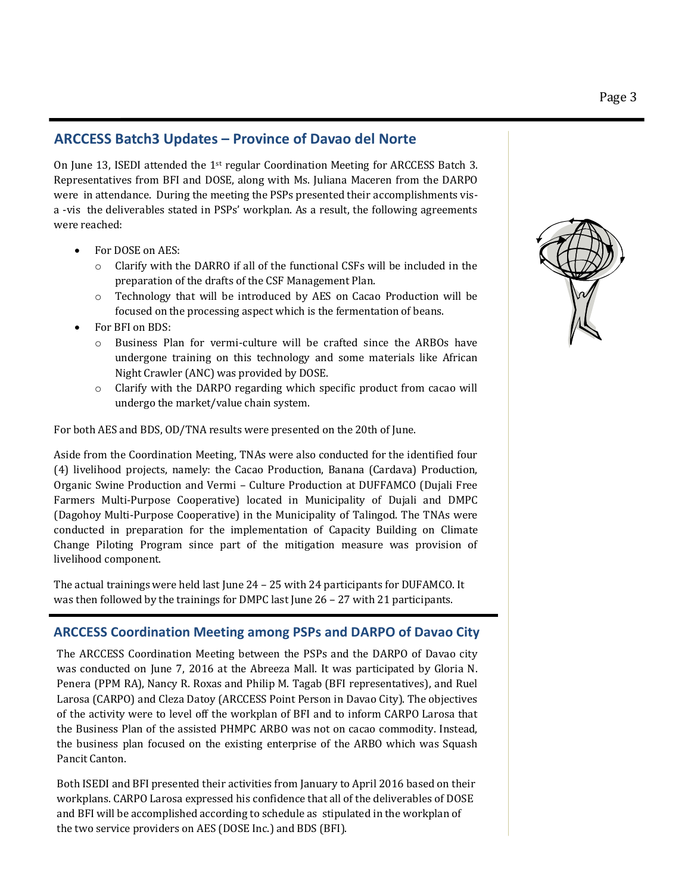#### **ARCCESS Batch3 Updates – Province of Davao del Norte**

On June 13, ISEDI attended the  $1<sup>st</sup>$  regular Coordination Meeting for ARCCESS Batch 3. Representatives from BFI and DOSE, along with Ms. Juliana Maceren from the DARPO were in attendance. During the meeting the PSPs presented their accomplishments visa -vis the deliverables stated in PSPs' workplan. As a result, the following agreements were reached:

- For DOSE on AES:
	- o Clarify with the DARRO if all of the functional CSFs will be included in the preparation of the drafts of the CSF Management Plan.
	- o Technology that will be introduced by AES on Cacao Production will be focused on the processing aspect which is the fermentation of beans.
- For BFI on BDS:
	- Business Plan for vermi-culture will be crafted since the ARBOs have undergone training on this technology and some materials like African Night Crawler (ANC) was provided by DOSE.
	- o Clarify with the DARPO regarding which specific product from cacao will undergo the market/value chain system.

For both AES and BDS, OD/TNA results were presented on the 20th of June.

Aside from the Coordination Meeting, TNAs were also conducted for the identified four (4) livelihood projects, namely: the Cacao Production, Banana (Cardava) Production, Organic Swine Production and Vermi – Culture Production at DUFFAMCO (Dujali Free Farmers Multi-Purpose Cooperative) located in Municipality of Dujali and DMPC (Dagohoy Multi-Purpose Cooperative) in the Municipality of Talingod. The TNAs were conducted in preparation for the implementation of Capacity Building on Climate Change Piloting Program since part of the mitigation measure was provision of livelihood component.

The actual trainings were held last June 24 – 25 with 24 participants for DUFAMCO. It was then followed by the trainings for DMPC last June 26 – 27 with 21 participants.

#### **ARCCESS Coordination Meeting among PSPs and DARPO of Davao City**

The ARCCESS Coordination Meeting between the PSPs and the DARPO of Davao city was conducted on June 7, 2016 at the Abreeza Mall. It was participated by Gloria N. Penera (PPM RA), Nancy R. Roxas and Philip M. Tagab (BFI representatives), and Ruel Larosa (CARPO) and Cleza Datoy (ARCCESS Point Person in Davao City). The objectives of the activity were to level off the workplan of BFI and to inform CARPO Larosa that the Business Plan of the assisted PHMPC ARBO was not on cacao commodity. Instead, the business plan focused on the existing enterprise of the ARBO which was Squash Pancit Canton.

Both ISEDI and BFI presented their activities from January to April 2016 based on their workplans. CARPO Larosa expressed his confidence that all of the deliverables of DOSE and BFI will be accomplished according to schedule as stipulated in the workplan of the two service providers on AES (DOSE Inc.) and BDS (BFI).